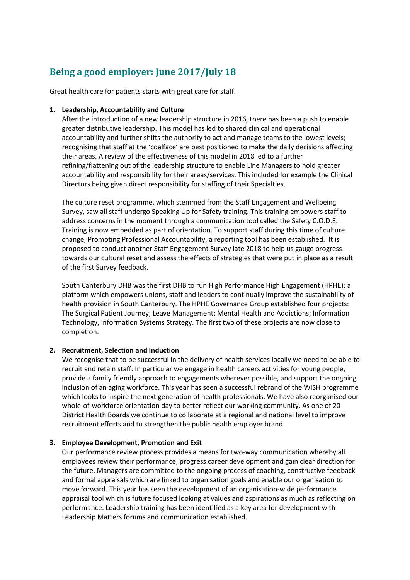# **Being a good employer: June 2017/July 18**

Great health care for patients starts with great care for staff.

## **1. Leadership, Accountability and Culture**

After the introduction of a new leadership structure in 2016, there has been a push to enable greater distributive leadership. This model has led to shared clinical and operational accountability and further shifts the authority to act and manage teams to the lowest levels; recognising that staff at the 'coalface' are best positioned to make the daily decisions affecting their areas. A review of the effectiveness of this model in 2018 led to a further refining/flattening out of the leadership structure to enable Line Managers to hold greater accountability and responsibility for their areas/services. This included for example the Clinical Directors being given direct responsibility for staffing of their Specialties.

The culture reset programme, which stemmed from the Staff Engagement and Wellbeing Survey, saw all staff undergo Speaking Up for Safety training. This training empowers staff to address concerns in the moment through a communication tool called the Safety C.O.D.E. Training is now embedded as part of orientation. To support staff during this time of culture change, Promoting Professional Accountability, a reporting tool has been established. It is proposed to conduct another Staff Engagement Survey late 2018 to help us gauge progress towards our cultural reset and assess the effects of strategies that were put in place as a result of the first Survey feedback.

South Canterbury DHB was the first DHB to run High Performance High Engagement (HPHE); a platform which empowers unions, staff and leaders to continually improve the sustainability of health provision in South Canterbury. The HPHE Governance Group established four projects: The Surgical Patient Journey; Leave Management; Mental Health and Addictions; Information Technology, Information Systems Strategy. The first two of these projects are now close to completion.

#### **2. Recruitment, Selection and Induction**

We recognise that to be successful in the delivery of health services locally we need to be able to recruit and retain staff. In particular we engage in health careers activities for young people, provide a family friendly approach to engagements wherever possible, and support the ongoing inclusion of an aging workforce. This year has seen a successful rebrand of the WISH programme which looks to inspire the next generation of health professionals. We have also reorganised our whole-of-workforce orientation day to better reflect our working community. As one of 20 District Health Boards we continue to collaborate at a regional and national level to improve recruitment efforts and to strengthen the public health employer brand.

## **3. Employee Development, Promotion and Exit**

Our performance review process provides a means for two-way communication whereby all employees review their performance, progress career development and gain clear direction for the future. Managers are committed to the ongoing process of coaching, constructive feedback and formal appraisals which are linked to organisation goals and enable our organisation to move forward. This year has seen the development of an organisation-wide performance appraisal tool which is future focused looking at values and aspirations as much as reflecting on performance. Leadership training has been identified as a key area for development with Leadership Matters forums and communication established.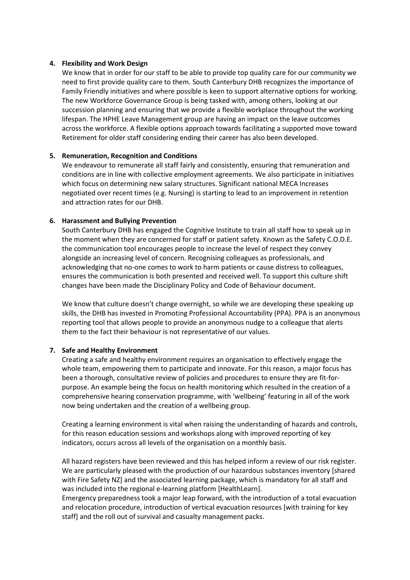#### **4. Flexibility and Work Design**

We know that in order for our staff to be able to provide top quality care for our community we need to first provide quality care to them. South Canterbury DHB recognizes the importance of Family Friendly initiatives and where possible is keen to support alternative options for working. The new Workforce Governance Group is being tasked with, among others, looking at our succession planning and ensuring that we provide a flexible workplace throughout the working lifespan. The HPHE Leave Management group are having an impact on the leave outcomes across the workforce. A flexible options approach towards facilitating a supported move toward Retirement for older staff considering ending their career has also been developed.

#### **5. Remuneration, Recognition and Conditions**

We endeavour to remunerate all staff fairly and consistently, ensuring that remuneration and conditions are in line with collective employment agreements. We also participate in initiatives which focus on determining new salary structures. Significant national MECA Increases negotiated over recent times (e.g. Nursing) is starting to lead to an improvement in retention and attraction rates for our DHB.

#### **6. Harassment and Bullying Prevention**

South Canterbury DHB has engaged the Cognitive Institute to train all staff how to speak up in the moment when they are concerned for staff or patient safety. Known as the Safety C.O.D.E. the communication tool encourages people to increase the level of respect they convey alongside an increasing level of concern. Recognising colleagues as professionals, and acknowledging that no-one comes to work to harm patients or cause distress to colleagues, ensures the communication is both presented and received well. To support this culture shift changes have been made the Disciplinary Policy and Code of Behaviour document.

We know that culture doesn't change overnight, so while we are developing these speaking up skills, the DHB has invested in Promoting Professional Accountability (PPA). PPA is an anonymous reporting tool that allows people to provide an anonymous nudge to a colleague that alerts them to the fact their behaviour is not representative of our values.

#### **7. Safe and Healthy Environment**

Creating a safe and healthy environment requires an organisation to effectively engage the whole team, empowering them to participate and innovate. For this reason, a major focus has been a thorough, consultative review of policies and procedures to ensure they are fit-forpurpose. An example being the focus on health monitoring which resulted in the creation of a comprehensive hearing conservation programme, with 'wellbeing' featuring in all of the work now being undertaken and the creation of a wellbeing group.

Creating a learning environment is vital when raising the understanding of hazards and controls, for this reason education sessions and workshops along with improved reporting of key indicators, occurs across all levels of the organisation on a monthly basis.

All hazard registers have been reviewed and this has helped inform a review of our risk register. We are particularly pleased with the production of our hazardous substances inventory [shared with Fire Safety NZ] and the associated learning package, which is mandatory for all staff and was included into the regional e-learning platform [HealthLearn].

Emergency preparedness took a major leap forward, with the introduction of a total evacuation and relocation procedure, introduction of vertical evacuation resources [with training for key staff] and the roll out of survival and casualty management packs.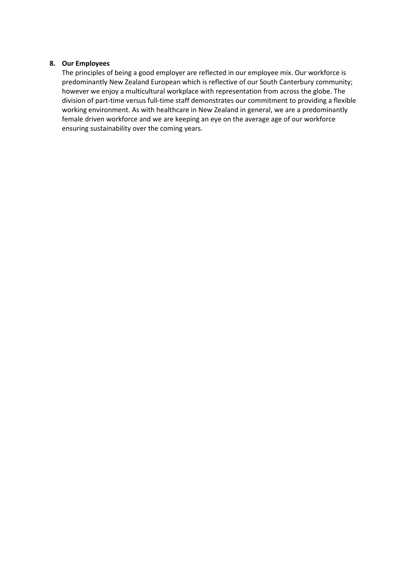## **8. Our Employees**

The principles of being a good employer are reflected in our employee mix. Our workforce is predominantly New Zealand European which is reflective of our South Canterbury community; however we enjoy a multicultural workplace with representation from across the globe. The division of part-time versus full-time staff demonstrates our commitment to providing a flexible working environment. As with healthcare in New Zealand in general, we are a predominantly female driven workforce and we are keeping an eye on the average age of our workforce ensuring sustainability over the coming years.